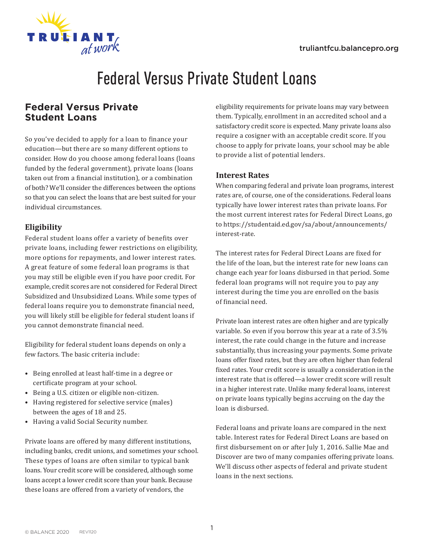

# Federal Versus Private Student Loans

# **Federal Versus Private Student Loans**

So you've decided to apply for a loan to finance your education—but there are so many different options to consider. How do you choose among federal loans (loans funded by the federal government), private loans (loans taken out from a financial institution), or a combination of both? We'll consider the differences between the options so that you can select the loans that are best suited for your individual circumstances.

### **Eligibility**

Federal student loans offer a variety of benefits over private loans, including fewer restrictions on eligibility, more options for repayments, and lower interest rates. A great feature of some federal loan programs is that you may still be eligible even if you have poor credit. For example, credit scores are not considered for Federal Direct Subsidized and Unsubsidized Loans. While some types of federal loans require you to demonstrate financial need, you will likely still be eligible for federal student loans if you cannot demonstrate financial need.

Eligibility for federal student loans depends on only a few factors. The basic criteria include:

- Being enrolled at least half-time in a degree or certificate program at your school.
- Being a U.S. citizen or eligible non-citizen.
- Having registered for selective service (males) between the ages of 18 and 25.
- Having a valid Social Security number.

Private loans are offered by many different institutions, including banks, credit unions, and sometimes your school. These types of loans are often similar to typical bank loans. Your credit score will be considered, although some loans accept a lower credit score than your bank. Because these loans are offered from a variety of vendors, the

eligibility requirements for private loans may vary between them. Typically, enrollment in an accredited school and a satisfactory credit score is expected. Many private loans also require a cosigner with an acceptable credit score. If you choose to apply for private loans, your school may be able to provide a list of potential lenders.

### **Interest Rates**

When comparing federal and private loan programs, interest rates are, of course, one of the considerations. Federal loans typically have lower interest rates than private loans. For the most current interest rates for Federal Direct Loans, go to https://studentaid.ed.gov/sa/about/announcements/ interest-rate.

The interest rates for Federal Direct Loans are fixed for the life of the loan, but the interest rate for new loans can change each year for loans disbursed in that period. Some federal loan programs will not require you to pay any interest during the time you are enrolled on the basis of financial need.

Private loan interest rates are often higher and are typically variable. So even if you borrow this year at a rate of 3.5% interest, the rate could change in the future and increase substantially, thus increasing your payments. Some private loans offer fixed rates, but they are often higher than federal fixed rates. Your credit score is usually a consideration in the interest rate that is offered—a lower credit score will result in a higher interest rate. Unlike many federal loans, interest on private loans typically begins accruing on the day the loan is disbursed.

Federal loans and private loans are compared in the next table. Interest rates for Federal Direct Loans are based on first disbursement on or after July 1, 2016. Sallie Mae and Discover are two of many companies offering private loans. We'll discuss other aspects of federal and private student loans in the next sections.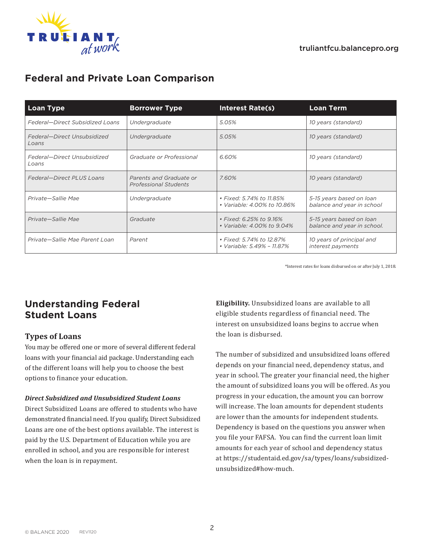

# **Federal and Private Loan Comparison**

| <b>Loan Type</b>                     | <b>Borrower Type</b>                                    | Interest Rate(s)                                        | <b>Loan Term</b>                                        |
|--------------------------------------|---------------------------------------------------------|---------------------------------------------------------|---------------------------------------------------------|
| Federal-Direct Subsidized Loans      | Undergraduate                                           | 5.05%                                                   | 10 years (standard)                                     |
| Federal-Direct Unsubsidized<br>Loans | Undergraduate                                           | 5.05%                                                   | 10 years (standard)                                     |
| Federal-Direct Unsubsidized<br>Loans | Graduate or Professional                                | 6.60%                                                   | 10 years (standard)                                     |
| <b>Federal-Direct PLUS Loans</b>     | Parents and Graduate or<br><b>Professional Students</b> | 7.60%                                                   | 10 years (standard)                                     |
| Private-Sallie Mae                   | Undergraduate                                           | • Fixed: 5.74% to 11.85%<br>• Variable: 4.00% to 10.86% | 5-15 years based on loan<br>balance and year in school  |
| Private-Sallie Mae                   | Graduate                                                | • Fixed: 6.25% to 9.16%<br>• Variable: 4,00% to 9,04%   | 5-15 years based on loan<br>balance and year in school. |
| Private—Sallie Mae Parent Loan       | Parent                                                  | • Fixed: 5.74% to 12.87%<br>• Variable: 5.49% - 11.87%  | 10 years of principal and<br>interest payments          |

\*Interest rates for loans disbursed on or after July 1, 2018.

# **Understanding Federal Student Loans**

### **Types of Loans**

You may be offered one or more of several different federal loans with your financial aid package. Understanding each of the different loans will help you to choose the best options to finance your education.

### *Direct Subsidized and Unsubsidized Student Loans*

Direct Subsidized Loans are offered to students who have demonstrated financial need. If you qualify, Direct Subsidized Loans are one of the best options available. The interest is paid by the U.S. Department of Education while you are enrolled in school, and you are responsible for interest when the loan is in repayment.

**Eligibility.** Unsubsidized loans are available to all eligible students regardless of financial need. The interest on unsubsidized loans begins to accrue when the loan is disbursed.

The number of subsidized and unsubsidized loans offered depends on your financial need, dependency status, and year in school. The greater your financial need, the higher the amount of subsidized loans you will be offered. As you progress in your education, the amount you can borrow will increase. The loan amounts for dependent students are lower than the amounts for independent students. Dependency is based on the questions you answer when you file your FAFSA. You can find the current loan limit amounts for each year of school and dependency status at https://studentaid.ed.gov/sa/types/loans/subsidizedunsubsidized#how-much.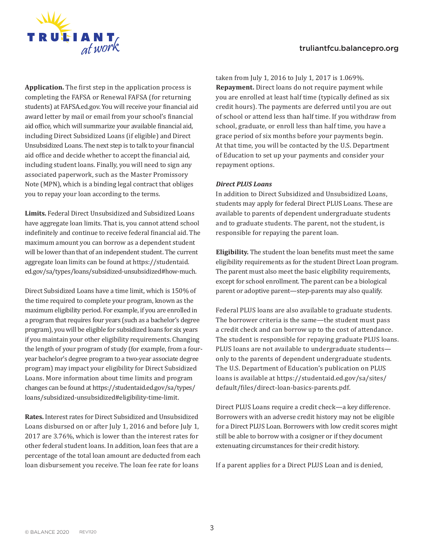



**Application.** The first step in the application process is completing the FAFSA or Renewal FAFSA (for returning students) at FAFSA.ed.gov. You will receive your financial aid award letter by mail or email from your school's financial aid office, which will summarize your available financial aid, including Direct Subsidized Loans (if eligible) and Direct Unsubsidized Loans. The next step is to talk to your financial aid office and decide whether to accept the financial aid, including student loans. Finally, you will need to sign any associated paperwork, such as the Master Promissory Note (MPN), which is a binding legal contract that obliges you to repay your loan according to the terms.

**Limits.** Federal Direct Unsubsidized and Subsidized Loans have aggregate loan limits. That is, you cannot attend school indefinitely and continue to receive federal financial aid. The maximum amount you can borrow as a dependent student will be lower than that of an independent student. The current aggregate loan limits can be found at https://studentaid. ed.gov/sa/types/loans/subsidized-unsubsidized#how-much.

Direct Subsidized Loans have a time limit, which is 150% of the time required to complete your program, known as the maximum eligibility period. For example, if you are enrolled in a program that requires four years (such as a bachelor's degree program), you will be eligible for subsidized loans for six years if you maintain your other eligibility requirements. Changing the length of your program of study (for example, from a fouryear bachelor's degree program to a two-year associate degree program) may impact your eligibility for Direct Subsidized Loans. More information about time limits and program changes can be found at https://studentaid.ed.gov/sa/types/ loans/subsidized-unsubsidized#eligibility-time-limit.

**Rates.** Interest rates for Direct Subsidized and Unsubsidized Loans disbursed on or after July 1, 2016 and before July 1, 2017 are 3.76%, which is lower than the interest rates for other federal student loans. In addition, loan fees that are a percentage of the total loan amount are deducted from each loan disbursement you receive. The loan fee rate for loans

taken from July 1, 2016 to July 1, 2017 is 1.069%. **Repayment.** Direct loans do not require payment while you are enrolled at least half time (typically defined as six credit hours). The payments are deferred until you are out of school or attend less than half time. If you withdraw from school, graduate, or enroll less than half time, you have a grace period of six months before your payments begin. At that time, you will be contacted by the U.S. Department of Education to set up your payments and consider your repayment options.

#### *Direct PLUS Loans*

In addition to Direct Subsidized and Unsubsidized Loans, students may apply for federal Direct PLUS Loans. These are available to parents of dependent undergraduate students and to graduate students. The parent, not the student, is responsible for repaying the parent loan.

**Eligibility.** The student the loan benefits must meet the same eligibility requirements as for the student Direct Loan program. The parent must also meet the basic eligibility requirements, except for school enrollment. The parent can be a biological parent or adoptive parent—step-parents may also qualify.

Federal PLUS loans are also available to graduate students. The borrower criteria is the same—the student must pass a credit check and can borrow up to the cost of attendance. The student is responsible for repaying graduate PLUS loans. PLUS loans are not available to undergraduate students only to the parents of dependent undergraduate students. The U.S. Department of Education's publication on PLUS loans is available at https://studentaid.ed.gov/sa/sites/ default/files/direct-loan-basics-parents.pdf.

Direct PLUS Loans require a credit check—a key difference. Borrowers with an adverse credit history may not be eligible for a Direct PLUS Loan. Borrowers with low credit scores might still be able to borrow with a cosigner or if they document extenuating circumstances for their credit history.

If a parent applies for a Direct PLUS Loan and is denied,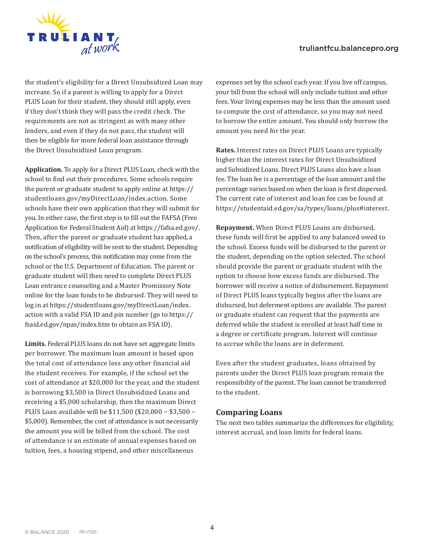### truliantfcu.balancepro.org



the student's eligibility for a Direct Unsubsidized Loan may increase. So if a parent is willing to apply for a Direct PLUS Loan for their student, they should still apply, even if they don't think they will pass the credit check. The requirements are not as stringent as with many other lenders, and even if they do not pass, the student will then be eligible for more federal loan assistance through the Direct Unsubsidized Loan program.

**Application.** To apply for a Direct PLUS Loan, check with the school to find out their procedures. Some schools require the parent or graduate student to apply online at https:// studentloans.gov/myDirectLoan/index.action. Some schools have their own application that they will submit for you. In either case, the first step is to fill out the FAFSA (Free Application for Federal Student Aid) at https://fafsa.ed.gov/. Then, after the parent or graduate student has applied, a notification of eligibility will be sent to the student. Depending on the school's process, this notification may come from the school or the U.S. Department of Education. The parent or graduate student will then need to complete Direct PLUS Loan entrance counseling and a Master Promissory Note online for the loan funds to be disbursed. They will need to log in at https://studentloans.gov/myDirectLoan/index. action with a valid FSA ID and pin number (go to https:// fsaid.ed.gov/npas/index.htm to obtain an FSA ID).

**Limits.** Federal PLUS loans do not have set aggregate limits per borrower. The maximum loan amount is based upon the total cost of attendance less any other financial aid the student receives. For example, if the school set the cost of attendance at \$20,000 for the year, and the student is borrowing \$3,500 in Direct Unsubsidized Loans and receiving a \$5,000 scholarship, then the maximum Direct PLUS Loan available will be \$11,500 (\$20,000 − \$3,500 − \$5,000). Remember, the cost of attendance is not necessarily the amount you will be billed from the school. The cost of attendance is an estimate of annual expenses based on tuition, fees, a housing stipend, and other miscellaneous

expenses set by the school each year. If you live off campus, your bill from the school will only include tuition and other fees. Your living expenses may be less than the amount used to compute the cost of attendance, so you may not need to borrow the entire amount. You should only borrow the amount you need for the year.

**Rates.** Interest rates on Direct PLUS Loans are typically higher than the interest rates for Direct Unsubsidized and Subsidized Loans. Direct PLUS Loans also have a loan fee. The loan fee is a percentage of the loan amount and the percentage varies based on when the loan is first dispersed. The current rate of interest and loan fee can be found at https://studentaid.ed.gov/sa/types/loans/plus#interest.

**Repayment.** When Direct PLUS Loans are disbursed, these funds will first be applied to any balanced owed to the school. Excess funds will be disbursed to the parent or the student, depending on the option selected. The school should provide the parent or graduate student with the option to choose how excess funds are disbursed. The borrower will receive a notice of disbursement. Repayment of Direct PLUS loans typically begins after the loans are disbursed, but deferment options are available. The parent or graduate student can request that the payments are deferred while the student is enrolled at least half time in a degree or certificate program. Interest will continue to accrue while the loans are in deferment.

Even after the student graduates, loans obtained by parents under the Direct PLUS loan program remain the responsibility of the parent. The loan cannot be transferred to the student.

### **Comparing Loans**

The next two tables summarize the differences for eligibility, interest accrual, and loan limits for federal loans.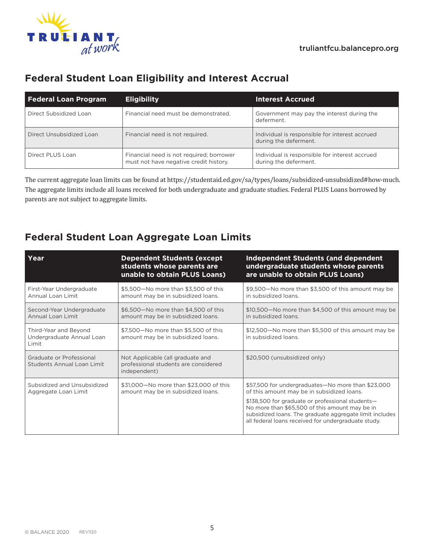

# **Federal Student Loan Eligibility and Interest Accrual**

| <b>Federal Loan Program</b> | <b>Eligibility</b>                                                                 | <b>Interest Accrued</b>                                                 |
|-----------------------------|------------------------------------------------------------------------------------|-------------------------------------------------------------------------|
| Direct Subsidized Loan      | Financial need must be demonstrated.                                               | Government may pay the interest during the<br>deferment.                |
| Direct Unsubsidized Loan    | Financial need is not required.                                                    | Individual is responsible for interest accrued<br>during the deferment. |
| Direct PLUS Loan            | Financial need is not required; borrower<br>must not have negative credit history. | Individual is responsible for interest accrued<br>during the deferment. |

The current aggregate loan limits can be found at https://studentaid.ed.gov/sa/types/loans/subsidized-unsubsidized#how-much. The aggregate limits include all loans received for both undergraduate and graduate studies. Federal PLUS Loans borrowed by parents are not subject to aggregate limits.

# **Federal Student Loan Aggregate Loan Limits**

| Year                                                          | <b>Dependent Students (except</b><br>students whose parents are<br>unable to obtain PLUS Loans) | <b>Independent Students (and dependent</b><br>undergraduate students whose parents<br>are unable to obtain PLUS Loans)                                                                                                                                                                                                  |
|---------------------------------------------------------------|-------------------------------------------------------------------------------------------------|-------------------------------------------------------------------------------------------------------------------------------------------------------------------------------------------------------------------------------------------------------------------------------------------------------------------------|
| First-Year Undergraduate<br>Annual Loan Limit                 | \$5,500-No more than \$3,500 of this<br>amount may be in subsidized loans.                      | \$9,500-No more than \$3,500 of this amount may be<br>in subsidized loans.                                                                                                                                                                                                                                              |
| Second-Year Undergraduate<br>Annual Loan Limit                | \$6,500-No more than \$4,500 of this<br>amount may be in subsidized loans.                      | \$10,500-No more than \$4,500 of this amount may be<br>in subsidized loans.                                                                                                                                                                                                                                             |
| Third-Year and Beyond<br>Undergraduate Annual Loan<br>Limit   | \$7,500-No more than \$5,500 of this<br>amount may be in subsidized loans.                      | \$12,500-No more than \$5,500 of this amount may be<br>in subsidized loans.                                                                                                                                                                                                                                             |
| Graduate or Professional<br><b>Students Annual Loan Limit</b> | Not Applicable (all graduate and<br>professional students are considered<br>independent)        | \$20,500 (unsubsidized only)                                                                                                                                                                                                                                                                                            |
| Subsidized and Unsubsidized<br>Aggregate Loan Limit           | \$31,000-No more than \$23,000 of this<br>amount may be in subsidized loans.                    | \$57,500 for undergraduates-No more than \$23,000<br>of this amount may be in subsidized loans.<br>\$138,500 for graduate or professional students-<br>No more than \$65,500 of this amount may be in<br>subsidized loans. The graduate aggregate limit includes<br>all federal loans received for undergraduate study. |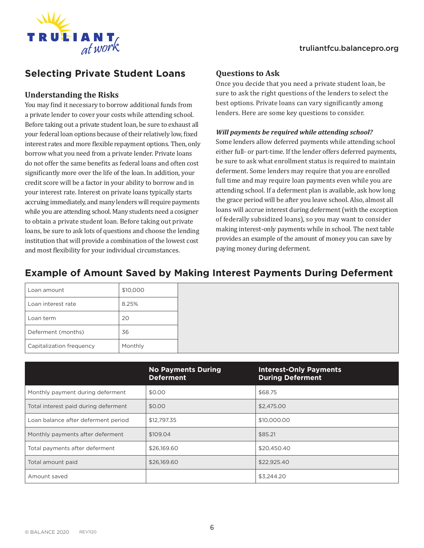

# **Selecting Private Student Loans**

### **Understanding the Risks**

You may find it necessary to borrow additional funds from a private lender to cover your costs while attending school. Before taking out a private student loan, be sure to exhaust all your federal loan options because of their relatively low, fixed interest rates and more flexible repayment options. Then, only borrow what you need from a private lender. Private loans do not offer the same benefits as federal loans and often cost significantly more over the life of the loan. In addition, your credit score will be a factor in your ability to borrow and in your interest rate. Interest on private loans typically starts accruing immediately, and many lenders will require payments while you are attending school. Many students need a cosigner to obtain a private student loan. Before taking out private loans, be sure to ask lots of questions and choose the lending institution that will provide a combination of the lowest cost and most flexibility for your individual circumstances.

### **Questions to Ask**

Once you decide that you need a private student loan, be sure to ask the right questions of the lenders to select the best options. Private loans can vary significantly among lenders. Here are some key questions to consider.

#### *Will payments be required while attending school?*

Some lenders allow deferred payments while attending school either full- or part-time. If the lender offers deferred payments, be sure to ask what enrollment status is required to maintain deferment. Some lenders may require that you are enrolled full time and may require loan payments even while you are attending school. If a deferment plan is available, ask how long the grace period will be after you leave school. Also, almost all loans will accrue interest during deferment (with the exception of federally subsidized loans), so you may want to consider making interest-only payments while in school. The next table provides an example of the amount of money you can save by paying money during deferment.

# **Example of Amount Saved by Making Interest Payments During Deferment**

| Loan amount              | \$10,000 |
|--------------------------|----------|
| Loan interest rate       | 8.25%    |
| Loan term                | 20       |
| Deferment (months)       | 36       |
| Capitalization frequency | Monthly  |

|                                      | <b>No Payments During</b><br><b>Deferment</b> | <b>Interest-Only Payments</b><br><b>During Deferment</b> |
|--------------------------------------|-----------------------------------------------|----------------------------------------------------------|
| Monthly payment during deferment     | \$0.00                                        | \$68.75                                                  |
| Total interest paid during deferment | \$0.00                                        | \$2,475.00                                               |
| Loan balance after deferment period  | \$12,797.35                                   | \$10,000,00                                              |
| Monthly payments after deferment     | \$109.04                                      | \$85.21                                                  |
| Total payments after deferment       | \$26,169.60                                   | \$20,450.40                                              |
| Total amount paid                    | \$26,169,60                                   | \$22,925,40                                              |
| Amount saved                         |                                               | \$3,244.20                                               |